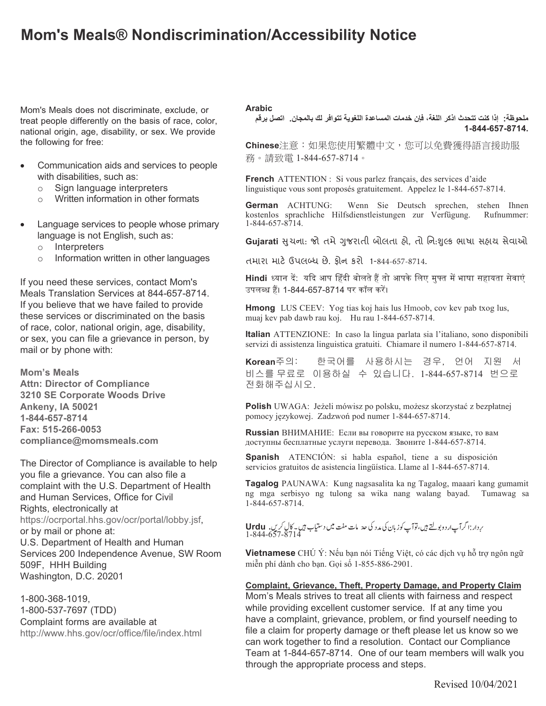## **Mom's Meals® Nondiscrimination/Accessibility Notice**

Mom's Meals does not discriminate, exclude, or treat people differently on the basis of race, color, national origin, age, disability, or sex. We provide the following for free:

- Communication aids and services to people with disabilities, such as:
	- $\circ$  Sign language interpreters
	- $\circ$  Written information in other formats
- Language services to people whose primary language is not English, such as:
	- $\circ$  Interpreters
	- $\circ$  Information written in other languages

If you need these services, contact Mom's Meals Translation Services at 844-657-8714. If you believe that we have failed to provide these services or discriminated on the basis of race, color, national origin, age, disability, or sex, you can file a grievance in person, by mail or by phone with:

**Mom's Meals Attn: Director of Compliance 3210 SE Corporate Woods Drive Ankeny, IA 50021** 1-844-657-8714 Fax: 515-266-0053 compliance@momsmeals.com

The Director of Compliance is available to help you file a grievance. You can also file a complaint with the U.S. Department of Health and Human Services, Office for Civil Rights, electronically at https://ocrportal.hhs.gov/ocr/portal/lobby.jsf, or by mail or phone at: U.S. Department of Health and Human Services 200 Independence Avenue, SW Room 509F. HHH Building Washington, D.C. 20201

1-800-368-1019, 1-800-537-7697 (TDD) Complaint forms are available at http://www.hhs.gov/ocr/office/file/index.html

#### Arabic

ملحوظة: إذا كنت تتحدث اذكر اللغة، فإن خدمات المساعدة اللغوية تتوافر لك بالمجان. اتصل برقم 1-844-657-8714.

**Chinese**注意:如果您使用繁體中文,您可以免費獲得語言援助服 務。請致電 1-844-657-8714。

**French** ATTENTION : Si vous parlez français, des services d'aide linguistique vous sont proposés gratuitement. Appelez le 1-844-657-8714.

**German** ACHTUNG: Wenn Sie Deutsch sprechen, stehen Ihnen kostenlos sprachliche Hilfsdienstleistungen zur Verfügung. Rufnummer: kostenlos sprachliche Hilfsdienstleistungen zur Verfügung. 1-844-657-8714.

Gujarati સુચના: જો તમે ગુજરાતી બોલતા હો, તો નિ:શુલ્ક ભાષા સહાચ સેવાઓ

તમારા માટે ઉપલબ્ધ છે. ફોન કરો 1-844-657-8714.

**Hindi** ध्यान दें: यदि आप हिंदी बोलते हैं तो आपके लिए मुफ्त में भाषा सहायता सेवाएं उपलब्ध हैं। 1-844-657-8714 पर कॉल करें।

**Hmong** LUS CEEV: Yog tias koj hais lus Hmoob, cov key pab txog lus, muaj kev pab dawb rau koj. Hu rau 1-844-657-8714.

**Italian** ATTENZIONE: In caso la lingua parlata sia l'italiano, sono disponibili servizi di assistenza linguistica gratuiti. Chiamare il numero 1-844-657-8714.

**Korean**주의: 한국어를 사용하시는 경우, 언어 지원 서 비스를 무료로 이용하실 수 있습니다. 1-844-657-8714 번으로 전화해주십시오.

Polish UWAGA: Jeżeli mówisz po polsku, możesz skorzystać z bezpłatnej pomocy językowej. Zadzwoń pod numer 1-844-657-8714.

Russian BHИМАНИЕ: Если вы говорите на русском языке, то вам доступны бесплатные услуги перевода. Звоните 1-844-657-8714.

**Spanish** ATENCIÓN: si habla español, tiene a su disposición servicios gratuitos de asistencia lingüística. Llame al 1-844-657-8714.

Tagalog PAUNAWA: Kung nagsasalita ka ng Tagalog, maaari kang gumamit ng mga serbisyo ng tulong sa wika nang walang bayad. Tumawag sa 1-844-657-8714.

بر دار :ا گرآپار دوبولتے ہیں، توآپ کوزبان کی مدد کی ح<sub>اف</sub> مات مفت میں دستیاب ہیں۔ کال کریں **، Urdu**<br>I-844-657-8714

Vietnamese CHÚ Ý: Nếu bạn nói Tiếng Việt, có các dịch vụ hỗ trợ ngôn ngữ miễn phí dành cho bạn. Gọi số 1-855-886-2901.

#### Complaint, Grievance, Theft, Property Damage, and Property Claim

Mom's Meals strives to treat all clients with fairness and respect while providing excellent customer service. If at any time you have a complaint, grievance, problem, or find yourself needing to file a claim for property damage or theft please let us know so we can work together to find a resolution. Contact our Compliance Team at 1-844-657-8714. One of our team members will walk you through the appropriate process and steps.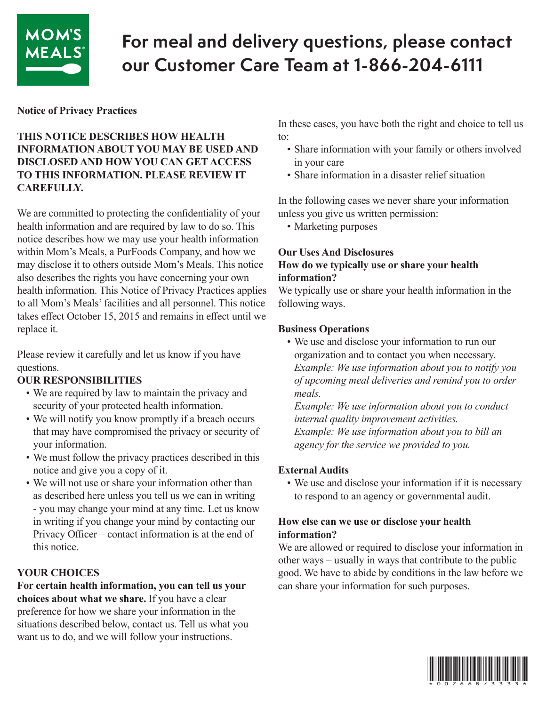

# **For meal and delivery questions, please contact our Customer Care Team at 1-866-204-6111**

#### **Notice of Privacy Practices**

#### **THIS NOTICE DESCRIBES HOW HEALTH INFORMATION ABOUT YOU MAY BE USED AND DISCLOSED AND HOW YOU CAN GET ACCESS TO THIS INFORMATION. PLEASE REVIEW IT CAREFULLY.**

We are committed to protecting the confidentiality of your health information and are required by law to do so. This notice describes how we may use your health information within Mom's Meals, a PurFoods Company, and how we may disclose it to others outside Mom's Meals. This notice also describes the rights you have concerning your own health information. This Notice of Privacy Practices applies to all Mom's Meals' facilities and all personnel. This notice takes effect October 15, 2015 and remains in effect until we replace it.

Please review it carefully and let us know if you have questions.

#### **OUR RESPONSIBILITIES**

- We are required by law to maintain the privacy and security of your protected health information.
- We will notify you know promptly if a breach occurs that may have compromised the privacy or security of your information.
- We must follow the privacy practices described in this notice and give you a copy of it.
- We will not use or share your information other than as described here unless you tell us we can in writing - you may change your mind at any time. Let us know in writing if you change your mind by contacting our Privacy Officer – contact information is at the end of this notice.

#### **YOUR CHOICES**

**For certain health information, you can tell us your choices about what we share.** If you have a clear preference for how we share your information in the situations described below, contact us. Tell us what you want us to do, and we will follow your instructions.

In these cases, you have both the right and choice to tell us to:

- Share information with your family or others involved in your care
- Share information in a disaster relief situation

In the following cases we never share your information unless you give us written permission:

• Marketing purposes

#### **Our Uses And Disclosures**

#### **How do we typically use or share your health information?**

We typically use or share your health information in the following ways.

#### **Business Operations**

• We use and disclose your information to run our organization and to contact you when necessary. *Example: We use information about you to notify you of upcoming meal deliveries and remind you to order meals.* 

*Example: We use information about you to conduct internal quality improvement activities. Example: We use information about you to bill an agency for the service we provided to you.* 

#### **External Audits**

• We use and disclose your information if it is necessary to respond to an agency or governmental audit.

#### **How else can we use or disclose your health information?**

We are allowed or required to disclose your information in other ways – usually in ways that contribute to the public good. We have to abide by conditions in the law before we can share your information for such purposes.

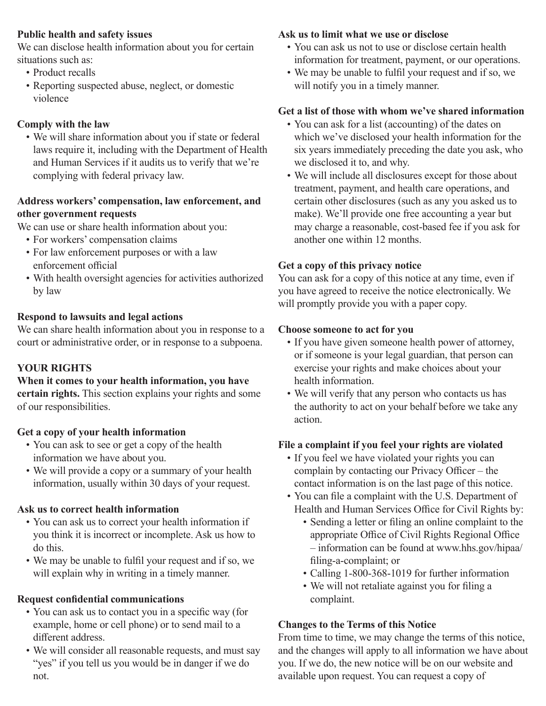#### **Public health and safety issues**

We can disclose health information about you for certain situations such as:

- Product recalls
- Reporting suspected abuse, neglect, or domestic violence

#### **Comply with the law**

• We will share information about you if state or federal laws require it, including with the Department of Health and Human Services if it audits us to verify that we're complying with federal privacy law.

#### **Address workers' compensation, law enforcement, and other government requests**

We can use or share health information about you:

- For workers' compensation claims
- For law enforcement purposes or with a law enforcement official
- With health oversight agencies for activities authorized by law

#### **Respond to lawsuits and legal actions**

We can share health information about you in response to a court or administrative order, or in response to a subpoena.

#### **YOUR RIGHTS**

#### **When it comes to your health information, you have**

**certain rights.** This section explains your rights and some of our responsibilities.

#### **Get a copy of your health information**

- You can ask to see or get a copy of the health information we have about you.
- We will provide a copy or a summary of your health information, usually within 30 days of your request.

#### **Ask us to correct health information**

- You can ask us to correct your health information if you think it is incorrect or incomplete. Ask us how to do this.
- We may be unable to fulfil your request and if so, we will explain why in writing in a timely manner.

#### **Request confidential communications**

- You can ask us to contact you in a specific way (for example, home or cell phone) or to send mail to a different address.
- We will consider all reasonable requests, and must say "yes" if you tell us you would be in danger if we do not.

## **Ask us to limit what we use or disclose**

- You can ask us not to use or disclose certain health information for treatment, payment, or our operations.
- We may be unable to fulfil your request and if so, we will notify you in a timely manner.

#### **Get a list of those with whom we've shared information**

- You can ask for a list (accounting) of the dates on which we've disclosed your health information for the six years immediately preceding the date you ask, who we disclosed it to, and why.
- We will include all disclosures except for those about treatment, payment, and health care operations, and certain other disclosures (such as any you asked us to make). We'll provide one free accounting a year but may charge a reasonable, cost-based fee if you ask for another one within 12 months.

### **Get a copy of this privacy notice**

You can ask for a copy of this notice at any time, even if you have agreed to receive the notice electronically. We will promptly provide you with a paper copy.

#### **Choose someone to act for you**

- If you have given someone health power of attorney, or if someone is your legal guardian, that person can exercise your rights and make choices about your health information.
- We will verify that any person who contacts us has the authority to act on your behalf before we take any action.

#### **File a complaint if you feel your rights are violated**

- If you feel we have violated your rights you can complain by contacting our Privacy Officer – the contact information is on the last page of this notice.
- You can file a complaint with the U.S. Department of Health and Human Services Office for Civil Rights by:
	- Sending a letter or filing an online complaint to the appropriate Office of Civil Rights Regional Office – information can be found at www.hhs.gov/hipaa/ filing-a-complaint; or
	- Calling 1-800-368-1019 for further information
	- We will not retaliate against you for filing a complaint.

#### **Changes to the Terms of this Notice**

From time to time, we may change the terms of this notice, and the changes will apply to all information we have about you. If we do, the new notice will be on our website and available upon request. You can request a copy of